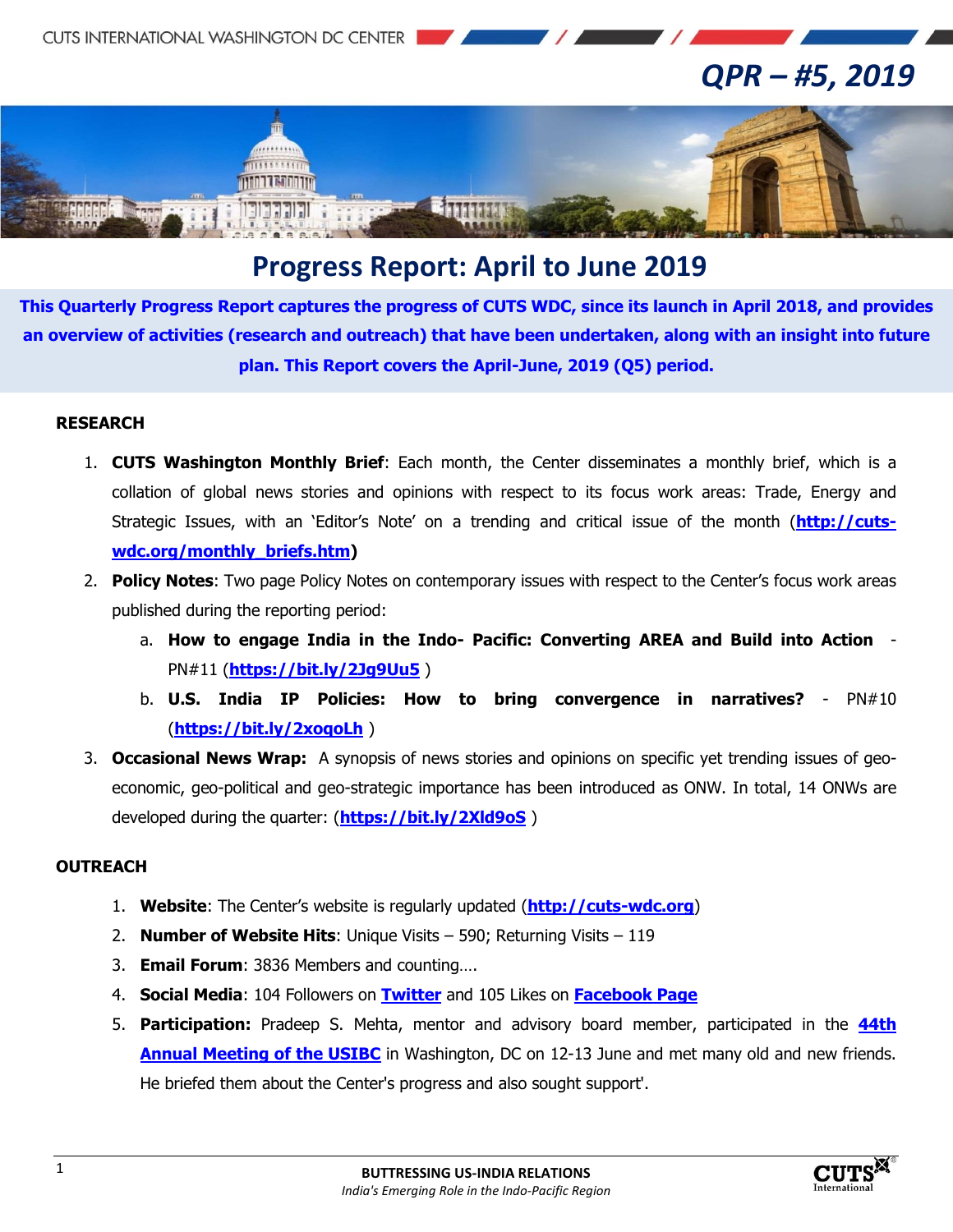

# *QPR – #5, 2019*



## **Progress Report: April to June 2019**

**This Quarterly Progress Report captures the progress of CUTS WDC, since its launch in April 2018, and provides an overview of activities (research and outreach) that have been undertaken, along with an insight into future plan. This Report covers the April-June, 2019 (Q5) period.**

#### **RESEARCH**

- 1. **CUTS Washington Monthly Brief**: Each month, the Center disseminates a monthly brief, which is a collation of global news stories and opinions with respect to its focus work areas: Trade, Energy and Strategic Issues, with an 'Editor's Note' on a trending and critical issue of the month (**[http://cuts](http://cuts-wdc.org/monthly_briefs.htm)[wdc.org/monthly\\_briefs.htm\)](http://cuts-wdc.org/monthly_briefs.htm)**
- 2. **Policy Notes**: Two page Policy Notes on contemporary issues with respect to the Center's focus work areas published during the reporting period:
	- a. **How to engage India in the Indo- Pacific: Converting AREA and Build into Action**  PN#11 (**<https://bit.ly/2Jg9Uu5>** )
	- b. **U.S. India IP Policies: How to bring convergence in narratives?**  PN#10 (**<https://bit.ly/2xoqoLh>** )
- 3. **Occasional News Wrap:** A synopsis of news stories and opinions on specific yet trending issues of geoeconomic, geo-political and geo-strategic importance has been introduced as ONW. In total, 14 ONWs are developed during the quarter: (**<https://bit.ly/2Xld9oS>** )

### **OUTREACH**

- 1. **Website**: The Center's website is regularly updated (**[http://cuts-wdc.org](http://cuts-wdc.org/)**)
- 2. **Number of Website Hits**: Unique Visits 590; Returning Visits 119
- 3. **Email Forum**: 3836 Members and counting….
- 4. **Social Media**: 104 Followers on **[Twitter](https://twitter.com/cutswdc)** and 105 Likes on **[Facebook Page](https://www.facebook.com/cutswdc)**
- 5. **Participation:** Pradeep S. Mehta, mentor and advisory board member, participated in the **[44th](https://www.usibc.com/event/india-ideas-summit-44th-annual-meeting/)  [Annual Meeting of the USIBC](https://www.usibc.com/event/india-ideas-summit-44th-annual-meeting/)** in Washington, DC on 12-13 June and met many old and new friends. He briefed them about the Center's progress and also sought support'.